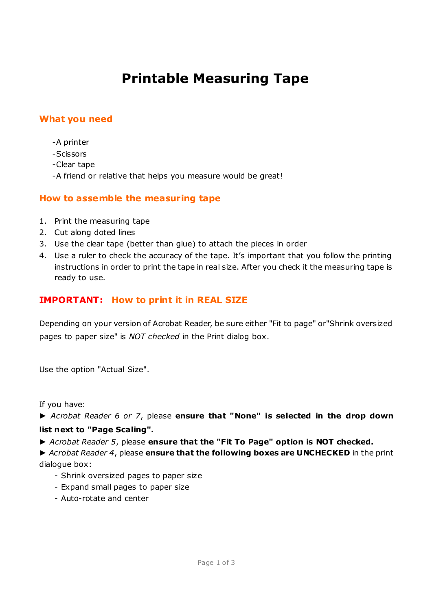# **Printable Measuring Tape**

# **What you need**

- -A printer
- -Scissors
- -Clear tape
- -A friend or relative that helps you measure would be great!

### **How to assemble the measuring tape**

- 1. Print the measuring tape
- 2. Cut along doted lines
- 3. Use the clear tape (better than glue) to attach the pieces in order
- 4. Use a ruler to check the accuracy of the tape. It's important that you follow the printing instructions in order to print the tape in real size. After you check it the measuring tape is ready to use.

# **IMPORTANT: How to print it in REAL SIZE**

Depending on your version of Acrobat Reader, be sure either "Fit to page" or"Shrink oversized pages to paper size" is *NOT checked* in the Print dialog box.

Use the option "Actual Size".

If you have:

*► Acrobat Reader 6 or 7*, please **ensure that "None" is selected in the drop down** 

#### **list next to "Page Scaling".**

*► Acrobat Reader 5*, please **ensure that the "Fit To Page" option is NOT checked.** 

*► Acrobat Reader 4*, please **ensure that the following boxes are UNCHECKED** in the print dialogue box:

- Shrink oversized pages to paper size
- Expand small pages to paper size
- Auto-rotate and center